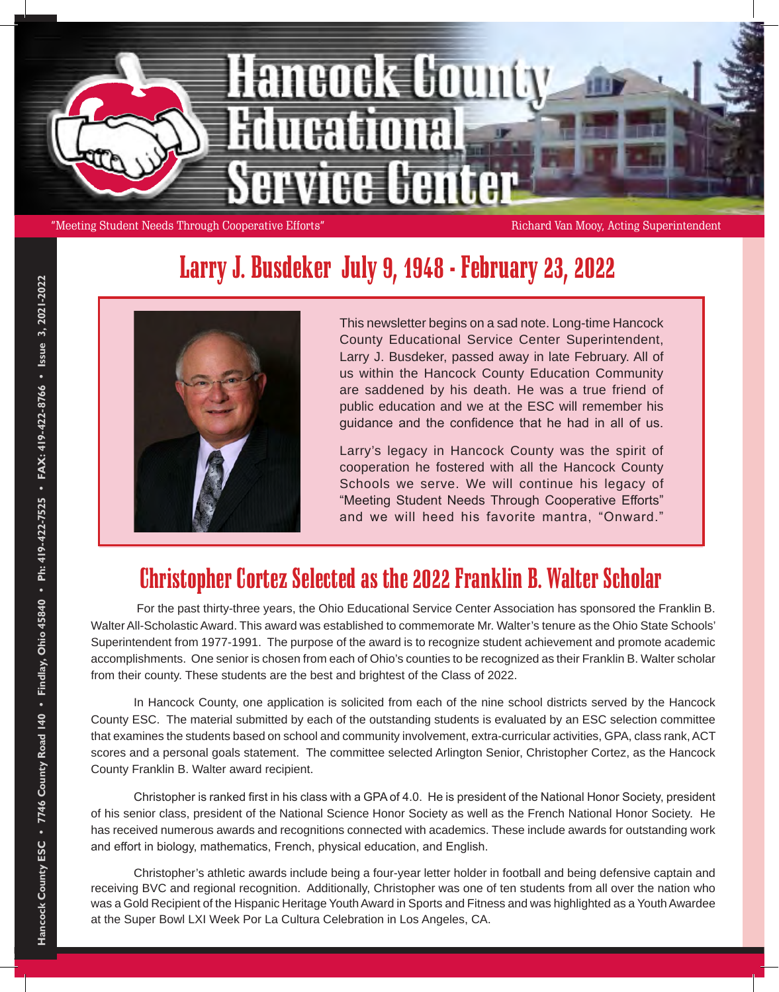

"Meeting Student Needs Through Cooperative Efforts" Richard Van Mooy, Acting Superintendent

## Larry J. Busdeker July 9, 1948 - February 23, 2022



This newsletter begins on a sad note. Long-time Hancock County Educational Service Center Superintendent, Larry J. Busdeker, passed away in late February. All of us within the Hancock County Education Community are saddened by his death. He was a true friend of public education and we at the ESC will remember his guidance and the confidence that he had in all of us.

Larry's legacy in Hancock County was the spirit of cooperation he fostered with all the Hancock County Schools we serve. We will continue his legacy of "Meeting Student Needs Through Cooperative Efforts" and we will heed his favorite mantra, "Onward."

#### Christopher Cortez Selected as the 2022 Franklin B. Walter Scholar

For the past thirty-three years, the Ohio Educational Service Center Association has sponsored the Franklin B. Walter All-Scholastic Award. This award was established to commemorate Mr. Walter's tenure as the Ohio State Schools' Superintendent from 1977-1991. The purpose of the award is to recognize student achievement and promote academic accomplishments. One senior is chosen from each of Ohio's counties to be recognized as their Franklin B. Walter scholar from their county. These students are the best and brightest of the Class of 2022.

In Hancock County, one application is solicited from each of the nine school districts served by the Hancock County ESC. The material submitted by each of the outstanding students is evaluated by an ESC selection committee that examines the students based on school and community involvement, extra-curricular activities, GPA, class rank, ACT scores and a personal goals statement. The committee selected Arlington Senior, Christopher Cortez, as the Hancock County Franklin B. Walter award recipient.

Christopher is ranked first in his class with a GPA of 4.0. He is president of the National Honor Society, president of his senior class, president of the National Science Honor Society as well as the French National Honor Society. He has received numerous awards and recognitions connected with academics. These include awards for outstanding work and effort in biology, mathematics, French, physical education, and English.

Christopher's athletic awards include being a four-year letter holder in football and being defensive captain and receiving BVC and regional recognition. Additionally, Christopher was one of ten students from all over the nation who was a Gold Recipient of the Hispanic Heritage Youth Award in Sports and Fitness and was highlighted as a Youth Awardee at the Super Bowl LXI Week Por La Cultura Celebration in Los Angeles, CA.